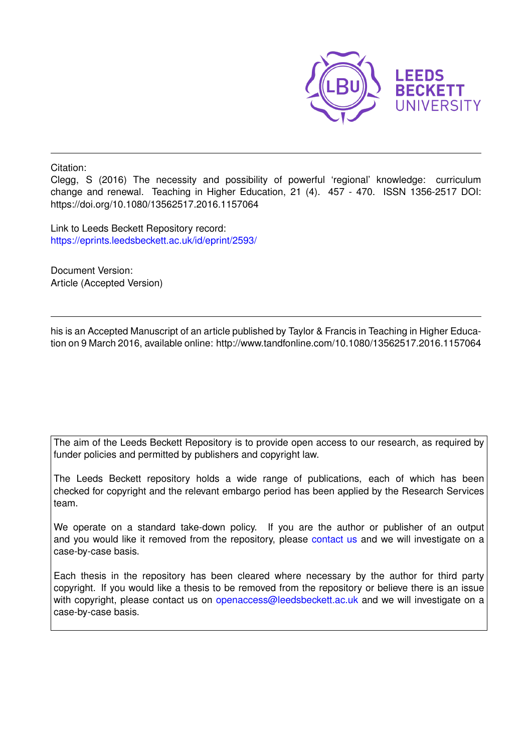

Citation:

Clegg, S (2016) The necessity and possibility of powerful 'regional' knowledge: curriculum change and renewal. Teaching in Higher Education, 21 (4). 457 - 470. ISSN 1356-2517 DOI: https://doi.org/10.1080/13562517.2016.1157064

Link to Leeds Beckett Repository record: <https://eprints.leedsbeckett.ac.uk/id/eprint/2593/>

Document Version: Article (Accepted Version)

his is an Accepted Manuscript of an article published by Taylor & Francis in Teaching in Higher Education on 9 March 2016, available online: http://www.tandfonline.com/10.1080/13562517.2016.1157064

The aim of the Leeds Beckett Repository is to provide open access to our research, as required by funder policies and permitted by publishers and copyright law.

The Leeds Beckett repository holds a wide range of publications, each of which has been checked for copyright and the relevant embargo period has been applied by the Research Services team.

We operate on a standard take-down policy. If you are the author or publisher of an output and you would like it removed from the repository, please [contact us](mailto:openaccess@leedsbeckett.ac.uk) and we will investigate on a case-by-case basis.

Each thesis in the repository has been cleared where necessary by the author for third party copyright. If you would like a thesis to be removed from the repository or believe there is an issue with copyright, please contact us on [openaccess@leedsbeckett.ac.uk](mailto:openaccess@leedsbeckett.ac.uk) and we will investigate on a case-by-case basis.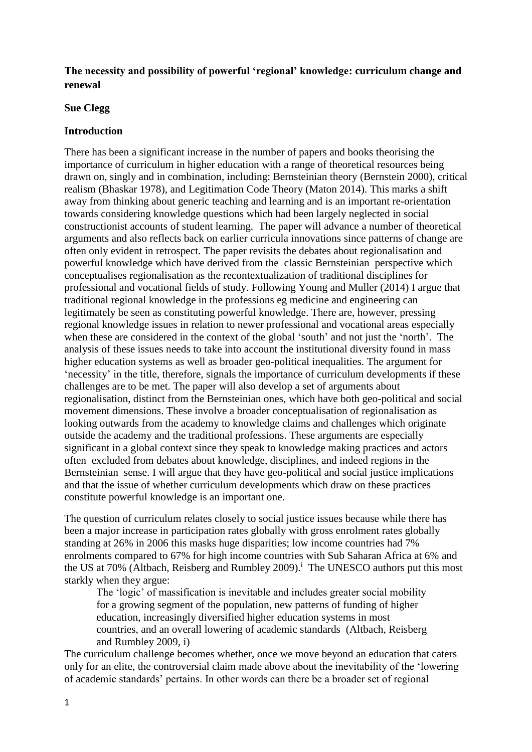# **The necessity and possibility of powerful 'regional' knowledge: curriculum change and renewal**

## **Sue Clegg**

## **Introduction**

There has been a significant increase in the number of papers and books theorising the importance of curriculum in higher education with a range of theoretical resources being drawn on, singly and in combination, including: Bernsteinian theory (Bernstein 2000), critical realism (Bhaskar 1978), and Legitimation Code Theory (Maton 2014). This marks a shift away from thinking about generic teaching and learning and is an important re-orientation towards considering knowledge questions which had been largely neglected in social constructionist accounts of student learning. The paper will advance a number of theoretical arguments and also reflects back on earlier curricula innovations since patterns of change are often only evident in retrospect. The paper revisits the debates about regionalisation and powerful knowledge which have derived from the classic Bernsteinian perspective which conceptualises regionalisation as the recontextualization of traditional disciplines for professional and vocational fields of study. Following Young and Muller (2014) I argue that traditional regional knowledge in the professions eg medicine and engineering can legitimately be seen as constituting powerful knowledge. There are, however, pressing regional knowledge issues in relation to newer professional and vocational areas especially when these are considered in the context of the global 'south' and not just the 'north'. The analysis of these issues needs to take into account the institutional diversity found in mass higher education systems as well as broader geo-political inequalities. The argument for 'necessity' in the title, therefore, signals the importance of curriculum developments if these challenges are to be met. The paper will also develop a set of arguments about regionalisation, distinct from the Bernsteinian ones, which have both geo-political and social movement dimensions. These involve a broader conceptualisation of regionalisation as looking outwards from the academy to knowledge claims and challenges which originate outside the academy and the traditional professions. These arguments are especially significant in a global context since they speak to knowledge making practices and actors often excluded from debates about knowledge, disciplines, and indeed regions in the Bernsteinian sense. I will argue that they have geo-political and social justice implications and that the issue of whether curriculum developments which draw on these practices constitute powerful knowledge is an important one.

The question of curriculum relates closely to social justice issues because while there has been a major increase in participation rates globally with gross enrolment rates globally standing at 26% in 2006 this masks huge disparities; low income countries had 7% enrolments compared to 67% for high income countries with Sub Saharan Africa at 6% and the US at 70% (Altbach, Reisberg and Rumbley 2009).<sup>1</sup> The UNESCO authors put this most starkly when they argue:

The 'logic' of massification is inevitable and includes greater social mobility for a growing segment of the population, new patterns of funding of higher education, increasingly diversified higher education systems in most countries, and an overall lowering of academic standards (Altbach, Reisberg and Rumbley 2009, i)

The curriculum challenge becomes whether, once we move beyond an education that caters only for an elite, the controversial claim made above about the inevitability of the 'lowering of academic standards' pertains. In other words can there be a broader set of regional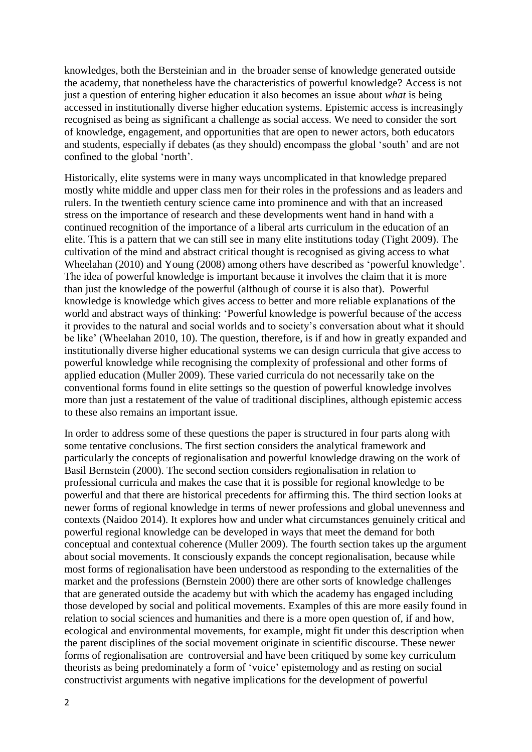knowledges, both the Bersteinian and in the broader sense of knowledge generated outside the academy, that nonetheless have the characteristics of powerful knowledge? Access is not just a question of entering higher education it also becomes an issue about *what* is being accessed in institutionally diverse higher education systems. Epistemic access is increasingly recognised as being as significant a challenge as social access. We need to consider the sort of knowledge, engagement, and opportunities that are open to newer actors, both educators and students, especially if debates (as they should) encompass the global 'south' and are not confined to the global 'north'.

Historically, elite systems were in many ways uncomplicated in that knowledge prepared mostly white middle and upper class men for their roles in the professions and as leaders and rulers. In the twentieth century science came into prominence and with that an increased stress on the importance of research and these developments went hand in hand with a continued recognition of the importance of a liberal arts curriculum in the education of an elite. This is a pattern that we can still see in many elite institutions today (Tight 2009). The cultivation of the mind and abstract critical thought is recognised as giving access to what Wheelahan (2010) and Young (2008) among others have described as 'powerful knowledge'. The idea of powerful knowledge is important because it involves the claim that it is more than just the knowledge of the powerful (although of course it is also that). Powerful knowledge is knowledge which gives access to better and more reliable explanations of the world and abstract ways of thinking: 'Powerful knowledge is powerful because of the access it provides to the natural and social worlds and to society's conversation about what it should be like' (Wheelahan 2010, 10). The question, therefore, is if and how in greatly expanded and institutionally diverse higher educational systems we can design curricula that give access to powerful knowledge while recognising the complexity of professional and other forms of applied education (Muller 2009). These varied curricula do not necessarily take on the conventional forms found in elite settings so the question of powerful knowledge involves more than just a restatement of the value of traditional disciplines, although epistemic access to these also remains an important issue.

In order to address some of these questions the paper is structured in four parts along with some tentative conclusions. The first section considers the analytical framework and particularly the concepts of regionalisation and powerful knowledge drawing on the work of Basil Bernstein (2000). The second section considers regionalisation in relation to professional curricula and makes the case that it is possible for regional knowledge to be powerful and that there are historical precedents for affirming this. The third section looks at newer forms of regional knowledge in terms of newer professions and global unevenness and contexts (Naidoo 2014). It explores how and under what circumstances genuinely critical and powerful regional knowledge can be developed in ways that meet the demand for both conceptual and contextual coherence (Muller 2009). The fourth section takes up the argument about social movements. It consciously expands the concept regionalisation, because while most forms of regionalisation have been understood as responding to the externalities of the market and the professions (Bernstein 2000) there are other sorts of knowledge challenges that are generated outside the academy but with which the academy has engaged including those developed by social and political movements. Examples of this are more easily found in relation to social sciences and humanities and there is a more open question of, if and how, ecological and environmental movements, for example, might fit under this description when the parent disciplines of the social movement originate in scientific discourse. These newer forms of regionalisation are controversial and have been critiqued by some key curriculum theorists as being predominately a form of 'voice' epistemology and as resting on social constructivist arguments with negative implications for the development of powerful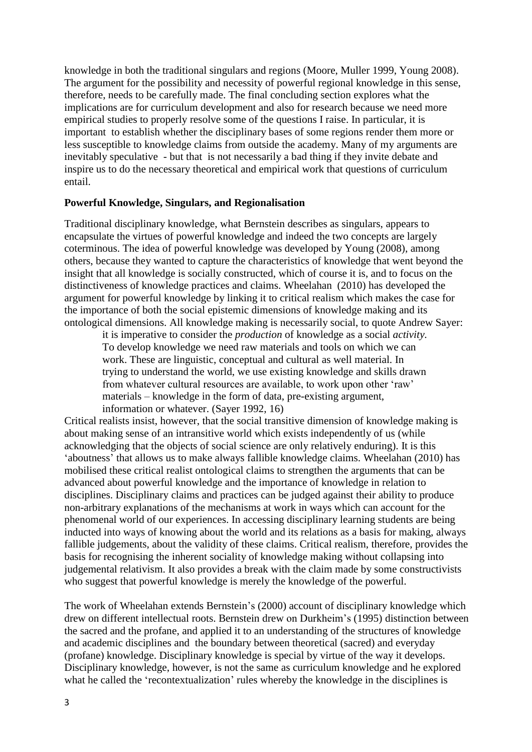knowledge in both the traditional singulars and regions (Moore, Muller 1999, Young 2008). The argument for the possibility and necessity of powerful regional knowledge in this sense, therefore, needs to be carefully made. The final concluding section explores what the implications are for curriculum development and also for research because we need more empirical studies to properly resolve some of the questions I raise. In particular, it is important to establish whether the disciplinary bases of some regions render them more or less susceptible to knowledge claims from outside the academy. Many of my arguments are inevitably speculative - but that is not necessarily a bad thing if they invite debate and inspire us to do the necessary theoretical and empirical work that questions of curriculum entail.

### **Powerful Knowledge, Singulars, and Regionalisation**

Traditional disciplinary knowledge, what Bernstein describes as singulars, appears to encapsulate the virtues of powerful knowledge and indeed the two concepts are largely coterminous. The idea of powerful knowledge was developed by Young (2008), among others, because they wanted to capture the characteristics of knowledge that went beyond the insight that all knowledge is socially constructed, which of course it is, and to focus on the distinctiveness of knowledge practices and claims. Wheelahan (2010) has developed the argument for powerful knowledge by linking it to critical realism which makes the case for the importance of both the social epistemic dimensions of knowledge making and its ontological dimensions. All knowledge making is necessarily social, to quote Andrew Sayer:

it is imperative to consider the *production* of knowledge as a social *activity.*  To develop knowledge we need raw materials and tools on which we can work. These are linguistic, conceptual and cultural as well material. In trying to understand the world, we use existing knowledge and skills drawn from whatever cultural resources are available, to work upon other 'raw' materials – knowledge in the form of data, pre-existing argument, information or whatever. (Sayer 1992, 16)

Critical realists insist, however, that the social transitive dimension of knowledge making is about making sense of an intransitive world which exists independently of us (while acknowledging that the objects of social science are only relatively enduring). It is this 'aboutness' that allows us to make always fallible knowledge claims. Wheelahan (2010) has mobilised these critical realist ontological claims to strengthen the arguments that can be advanced about powerful knowledge and the importance of knowledge in relation to disciplines. Disciplinary claims and practices can be judged against their ability to produce non-arbitrary explanations of the mechanisms at work in ways which can account for the phenomenal world of our experiences. In accessing disciplinary learning students are being inducted into ways of knowing about the world and its relations as a basis for making, always fallible judgements, about the validity of these claims. Critical realism, therefore, provides the basis for recognising the inherent sociality of knowledge making without collapsing into judgemental relativism. It also provides a break with the claim made by some constructivists who suggest that powerful knowledge is merely the knowledge of the powerful.

The work of Wheelahan extends Bernstein's (2000) account of disciplinary knowledge which drew on different intellectual roots. Bernstein drew on Durkheim's (1995) distinction between the sacred and the profane, and applied it to an understanding of the structures of knowledge and academic disciplines and the boundary between theoretical (sacred) and everyday (profane) knowledge. Disciplinary knowledge is special by virtue of the way it develops. Disciplinary knowledge, however, is not the same as curriculum knowledge and he explored what he called the 'recontextualization' rules whereby the knowledge in the disciplines is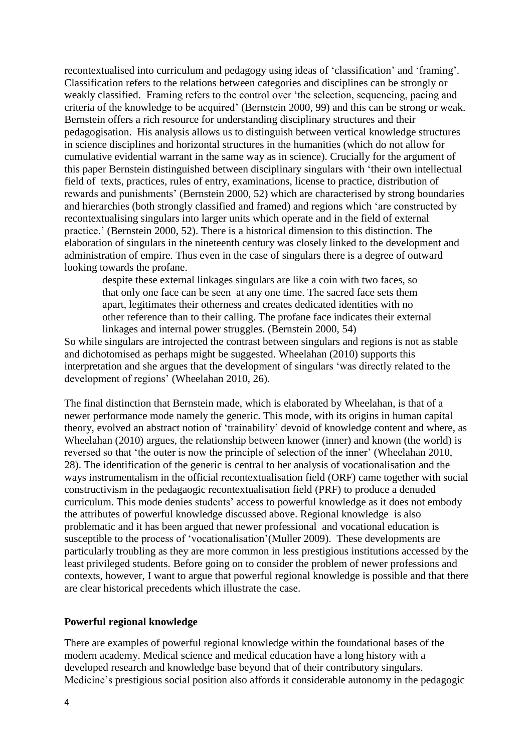recontextualised into curriculum and pedagogy using ideas of 'classification' and 'framing'. Classification refers to the relations between categories and disciplines can be strongly or weakly classified. Framing refers to the control over 'the selection, sequencing, pacing and criteria of the knowledge to be acquired' (Bernstein 2000, 99) and this can be strong or weak. Bernstein offers a rich resource for understanding disciplinary structures and their pedagogisation. His analysis allows us to distinguish between vertical knowledge structures in science disciplines and horizontal structures in the humanities (which do not allow for cumulative evidential warrant in the same way as in science). Crucially for the argument of this paper Bernstein distinguished between disciplinary singulars with 'their own intellectual field of texts, practices, rules of entry, examinations, license to practice, distribution of rewards and punishments' (Bernstein 2000, 52) which are characterised by strong boundaries and hierarchies (both strongly classified and framed) and regions which 'are constructed by recontextualising singulars into larger units which operate and in the field of external practice.' (Bernstein 2000, 52). There is a historical dimension to this distinction. The elaboration of singulars in the nineteenth century was closely linked to the development and administration of empire. Thus even in the case of singulars there is a degree of outward looking towards the profane.

despite these external linkages singulars are like a coin with two faces, so that only one face can be seen at any one time. The sacred face sets them apart, legitimates their otherness and creates dedicated identities with no other reference than to their calling. The profane face indicates their external linkages and internal power struggles. (Bernstein 2000, 54)

So while singulars are introjected the contrast between singulars and regions is not as stable and dichotomised as perhaps might be suggested. Wheelahan (2010) supports this interpretation and she argues that the development of singulars 'was directly related to the development of regions' (Wheelahan 2010, 26).

The final distinction that Bernstein made, which is elaborated by Wheelahan, is that of a newer performance mode namely the generic. This mode, with its origins in human capital theory, evolved an abstract notion of 'trainability' devoid of knowledge content and where, as Wheelahan (2010) argues, the relationship between knower (inner) and known (the world) is reversed so that 'the outer is now the principle of selection of the inner' (Wheelahan 2010, 28). The identification of the generic is central to her analysis of vocationalisation and the ways instrumentalism in the official recontextualisation field (ORF) came together with social constructivism in the pedagaogic recontextualisation field (PRF) to produce a denuded curriculum. This mode denies students' access to powerful knowledge as it does not embody the attributes of powerful knowledge discussed above. Regional knowledge is also problematic and it has been argued that newer professional and vocational education is susceptible to the process of 'vocationalisation'(Muller 2009). These developments are particularly troubling as they are more common in less prestigious institutions accessed by the least privileged students. Before going on to consider the problem of newer professions and contexts, however, I want to argue that powerful regional knowledge is possible and that there are clear historical precedents which illustrate the case.

## **Powerful regional knowledge**

There are examples of powerful regional knowledge within the foundational bases of the modern academy. Medical science and medical education have a long history with a developed research and knowledge base beyond that of their contributory singulars. Medicine's prestigious social position also affords it considerable autonomy in the pedagogic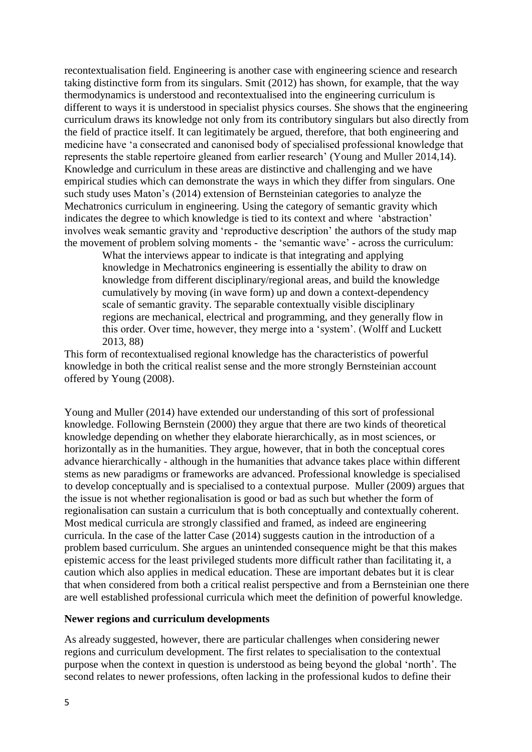recontextualisation field. Engineering is another case with engineering science and research taking distinctive form from its singulars. Smit (2012) has shown, for example, that the way thermodynamics is understood and recontextualised into the engineering curriculum is different to ways it is understood in specialist physics courses. She shows that the engineering curriculum draws its knowledge not only from its contributory singulars but also directly from the field of practice itself. It can legitimately be argued, therefore, that both engineering and medicine have 'a consecrated and canonised body of specialised professional knowledge that represents the stable repertoire gleaned from earlier research' (Young and Muller 2014,14). Knowledge and curriculum in these areas are distinctive and challenging and we have empirical studies which can demonstrate the ways in which they differ from singulars. One such study uses Maton's (2014) extension of Bernsteinian categories to analyze the Mechatronics curriculum in engineering. Using the category of semantic gravity which indicates the degree to which knowledge is tied to its context and where 'abstraction' involves weak semantic gravity and 'reproductive description' the authors of the study map the movement of problem solving moments - the 'semantic wave' - across the curriculum:

What the interviews appear to indicate is that integrating and applying knowledge in Mechatronics engineering is essentially the ability to draw on knowledge from different disciplinary/regional areas, and build the knowledge cumulatively by moving (in wave form) up and down a context-dependency scale of semantic gravity. The separable contextually visible disciplinary regions are mechanical, electrical and programming, and they generally flow in this order. Over time, however, they merge into a 'system'. (Wolff and Luckett 2013, 88)

This form of recontextualised regional knowledge has the characteristics of powerful knowledge in both the critical realist sense and the more strongly Bernsteinian account offered by Young (2008).

Young and Muller (2014) have extended our understanding of this sort of professional knowledge. Following Bernstein (2000) they argue that there are two kinds of theoretical knowledge depending on whether they elaborate hierarchically, as in most sciences, or horizontally as in the humanities. They argue, however, that in both the conceptual cores advance hierarchically - although in the humanities that advance takes place within different stems as new paradigms or frameworks are advanced. Professional knowledge is specialised to develop conceptually and is specialised to a contextual purpose. Muller (2009) argues that the issue is not whether regionalisation is good or bad as such but whether the form of regionalisation can sustain a curriculum that is both conceptually and contextually coherent. Most medical curricula are strongly classified and framed, as indeed are engineering curricula. In the case of the latter Case (2014) suggests caution in the introduction of a problem based curriculum. She argues an unintended consequence might be that this makes epistemic access for the least privileged students more difficult rather than facilitating it, a caution which also applies in medical education. These are important debates but it is clear that when considered from both a critical realist perspective and from a Bernsteinian one there are well established professional curricula which meet the definition of powerful knowledge.

#### **Newer regions and curriculum developments**

As already suggested, however, there are particular challenges when considering newer regions and curriculum development. The first relates to specialisation to the contextual purpose when the context in question is understood as being beyond the global 'north'. The second relates to newer professions, often lacking in the professional kudos to define their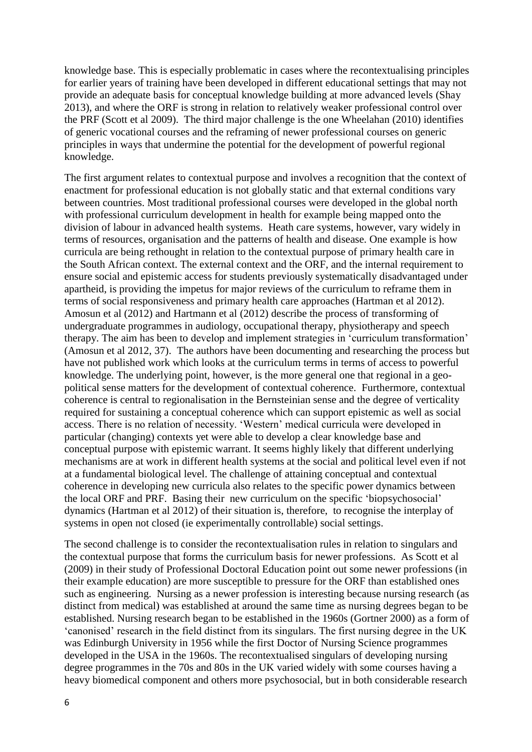knowledge base. This is especially problematic in cases where the recontextualising principles for earlier years of training have been developed in different educational settings that may not provide an adequate basis for conceptual knowledge building at more advanced levels (Shay 2013), and where the ORF is strong in relation to relatively weaker professional control over the PRF (Scott et al 2009). The third major challenge is the one Wheelahan (2010) identifies of generic vocational courses and the reframing of newer professional courses on generic principles in ways that undermine the potential for the development of powerful regional knowledge.

The first argument relates to contextual purpose and involves a recognition that the context of enactment for professional education is not globally static and that external conditions vary between countries. Most traditional professional courses were developed in the global north with professional curriculum development in health for example being mapped onto the division of labour in advanced health systems. Heath care systems, however, vary widely in terms of resources, organisation and the patterns of health and disease. One example is how curricula are being rethought in relation to the contextual purpose of primary health care in the South African context. The external context and the ORF, and the internal requirement to ensure social and epistemic access for students previously systematically disadvantaged under apartheid, is providing the impetus for major reviews of the curriculum to reframe them in terms of social responsiveness and primary health care approaches (Hartman et al 2012). Amosun et al (2012) and Hartmann et al (2012) describe the process of transforming of undergraduate programmes in audiology, occupational therapy, physiotherapy and speech therapy. The aim has been to develop and implement strategies in 'curriculum transformation' (Amosun et al 2012, 37). The authors have been documenting and researching the process but have not published work which looks at the curriculum terms in terms of access to powerful knowledge. The underlying point, however, is the more general one that regional in a geopolitical sense matters for the development of contextual coherence. Furthermore, contextual coherence is central to regionalisation in the Bernsteinian sense and the degree of verticality required for sustaining a conceptual coherence which can support epistemic as well as social access. There is no relation of necessity. 'Western' medical curricula were developed in particular (changing) contexts yet were able to develop a clear knowledge base and conceptual purpose with epistemic warrant. It seems highly likely that different underlying mechanisms are at work in different health systems at the social and political level even if not at a fundamental biological level. The challenge of attaining conceptual and contextual coherence in developing new curricula also relates to the specific power dynamics between the local ORF and PRF. Basing their new curriculum on the specific 'biopsychosocial' dynamics (Hartman et al 2012) of their situation is, therefore, to recognise the interplay of systems in open not closed (ie experimentally controllable) social settings.

The second challenge is to consider the recontextualisation rules in relation to singulars and the contextual purpose that forms the curriculum basis for newer professions. As Scott et al (2009) in their study of Professional Doctoral Education point out some newer professions (in their example education) are more susceptible to pressure for the ORF than established ones such as engineering. Nursing as a newer profession is interesting because nursing research (as distinct from medical) was established at around the same time as nursing degrees began to be established. Nursing research began to be established in the 1960s (Gortner 2000) as a form of 'canonised' research in the field distinct from its singulars. The first nursing degree in the UK was Edinburgh University in 1956 while the first Doctor of Nursing Science programmes developed in the USA in the 1960s. The recontextualised singulars of developing nursing degree programmes in the 70s and 80s in the UK varied widely with some courses having a heavy biomedical component and others more psychosocial, but in both considerable research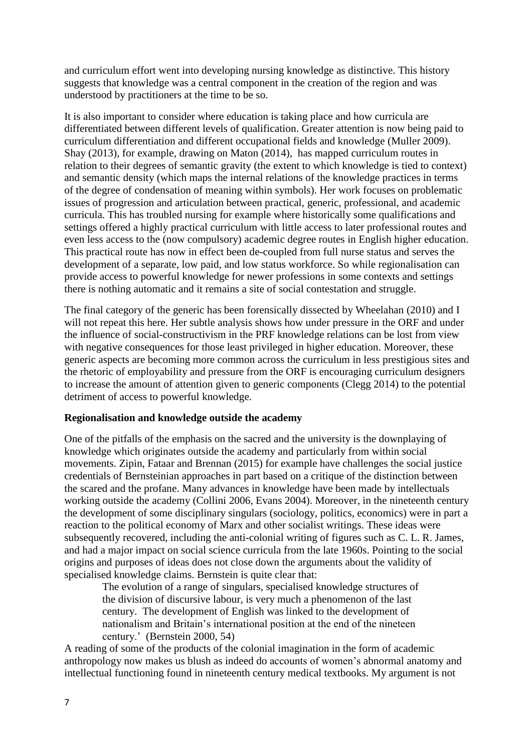and curriculum effort went into developing nursing knowledge as distinctive. This history suggests that knowledge was a central component in the creation of the region and was understood by practitioners at the time to be so.

It is also important to consider where education is taking place and how curricula are differentiated between different levels of qualification. Greater attention is now being paid to curriculum differentiation and different occupational fields and knowledge (Muller 2009). Shay (2013), for example, drawing on Maton (2014), has mapped curriculum routes in relation to their degrees of semantic gravity (the extent to which knowledge is tied to context) and semantic density (which maps the internal relations of the knowledge practices in terms of the degree of condensation of meaning within symbols). Her work focuses on problematic issues of progression and articulation between practical, generic, professional, and academic curricula. This has troubled nursing for example where historically some qualifications and settings offered a highly practical curriculum with little access to later professional routes and even less access to the (now compulsory) academic degree routes in English higher education. This practical route has now in effect been de-coupled from full nurse status and serves the development of a separate, low paid, and low status workforce. So while regionalisation can provide access to powerful knowledge for newer professions in some contexts and settings there is nothing automatic and it remains a site of social contestation and struggle.

The final category of the generic has been forensically dissected by Wheelahan (2010) and I will not repeat this here. Her subtle analysis shows how under pressure in the ORF and under the influence of social-constructivism in the PRF knowledge relations can be lost from view with negative consequences for those least privileged in higher education. Moreover, these generic aspects are becoming more common across the curriculum in less prestigious sites and the rhetoric of employability and pressure from the ORF is encouraging curriculum designers to increase the amount of attention given to generic components (Clegg 2014) to the potential detriment of access to powerful knowledge.

### **Regionalisation and knowledge outside the academy**

One of the pitfalls of the emphasis on the sacred and the university is the downplaying of knowledge which originates outside the academy and particularly from within social movements. Zipin, Fataar and Brennan (2015) for example have challenges the social justice credentials of Bernsteinian approaches in part based on a critique of the distinction between the scared and the profane. Many advances in knowledge have been made by intellectuals working outside the academy (Collini 2006, Evans 2004). Moreover, in the nineteenth century the development of some disciplinary singulars (sociology, politics, economics) were in part a reaction to the political economy of Marx and other socialist writings. These ideas were subsequently recovered, including the anti-colonial writing of figures such as C. L. R. James, and had a major impact on social science curricula from the late 1960s. Pointing to the social origins and purposes of ideas does not close down the arguments about the validity of specialised knowledge claims. Bernstein is quite clear that:

The evolution of a range of singulars, specialised knowledge structures of the division of discursive labour, is very much a phenomenon of the last century. The development of English was linked to the development of nationalism and Britain's international position at the end of the nineteen century.' (Bernstein 2000, 54)

A reading of some of the products of the colonial imagination in the form of academic anthropology now makes us blush as indeed do accounts of women's abnormal anatomy and intellectual functioning found in nineteenth century medical textbooks. My argument is not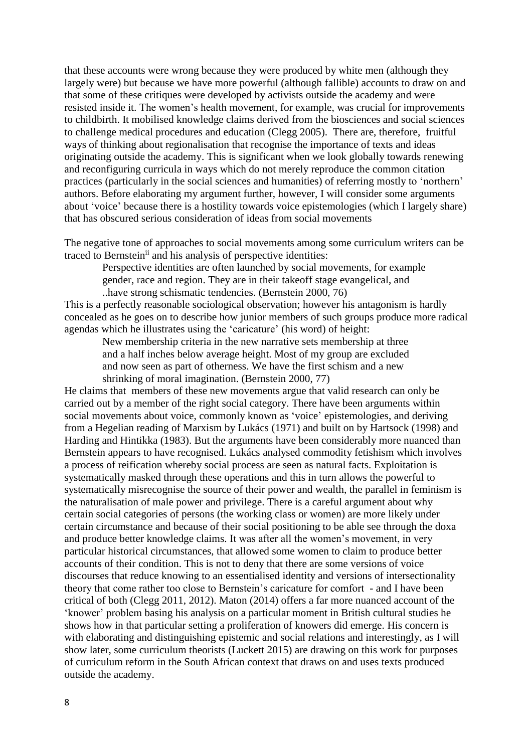that these accounts were wrong because they were produced by white men (although they largely were) but because we have more powerful (although fallible) accounts to draw on and that some of these critiques were developed by activists outside the academy and were resisted inside it. The women's health movement, for example, was crucial for improvements to childbirth. It mobilised knowledge claims derived from the biosciences and social sciences to challenge medical procedures and education (Clegg 2005). There are, therefore, fruitful ways of thinking about regionalisation that recognise the importance of texts and ideas originating outside the academy. This is significant when we look globally towards renewing and reconfiguring curricula in ways which do not merely reproduce the common citation practices (particularly in the social sciences and humanities) of referring mostly to 'northern' authors. Before elaborating my argument further, however, I will consider some arguments about 'voice' because there is a hostility towards voice epistemologies (which I largely share) that has obscured serious consideration of ideas from social movements

The negative tone of approaches to social movements among some curriculum writers can be traced to Bernstein<sup>ii</sup> and his analysis of perspective identities:

Perspective identities are often launched by social movements, for example gender, race and region. They are in their takeoff stage evangelical, and ..have strong schismatic tendencies. (Bernstein 2000, 76)

This is a perfectly reasonable sociological observation; however his antagonism is hardly concealed as he goes on to describe how junior members of such groups produce more radical agendas which he illustrates using the 'caricature' (his word) of height:

New membership criteria in the new narrative sets membership at three and a half inches below average height. Most of my group are excluded and now seen as part of otherness. We have the first schism and a new shrinking of moral imagination. (Bernstein 2000, 77)

He claims that members of these new movements argue that valid research can only be carried out by a member of the right social category. There have been arguments within social movements about voice, commonly known as 'voice' epistemologies, and deriving from a Hegelian reading of Marxism by Lukács (1971) and built on by Hartsock (1998) and Harding and Hintikka (1983). But the arguments have been considerably more nuanced than Bernstein appears to have recognised. Lukács analysed commodity fetishism which involves a process of reification whereby social process are seen as natural facts. Exploitation is systematically masked through these operations and this in turn allows the powerful to systematically misrecognise the source of their power and wealth, the parallel in feminism is the naturalisation of male power and privilege. There is a careful argument about why certain social categories of persons (the working class or women) are more likely under certain circumstance and because of their social positioning to be able see through the doxa and produce better knowledge claims. It was after all the women's movement, in very particular historical circumstances, that allowed some women to claim to produce better accounts of their condition. This is not to deny that there are some versions of voice discourses that reduce knowing to an essentialised identity and versions of intersectionality theory that come rather too close to Bernstein's caricature for comfort - and I have been critical of both (Clegg 2011, 2012). Maton (2014) offers a far more nuanced account of the 'knower' problem basing his analysis on a particular moment in British cultural studies he shows how in that particular setting a proliferation of knowers did emerge. His concern is with elaborating and distinguishing epistemic and social relations and interestingly, as I will show later, some curriculum theorists (Luckett 2015) are drawing on this work for purposes of curriculum reform in the South African context that draws on and uses texts produced outside the academy.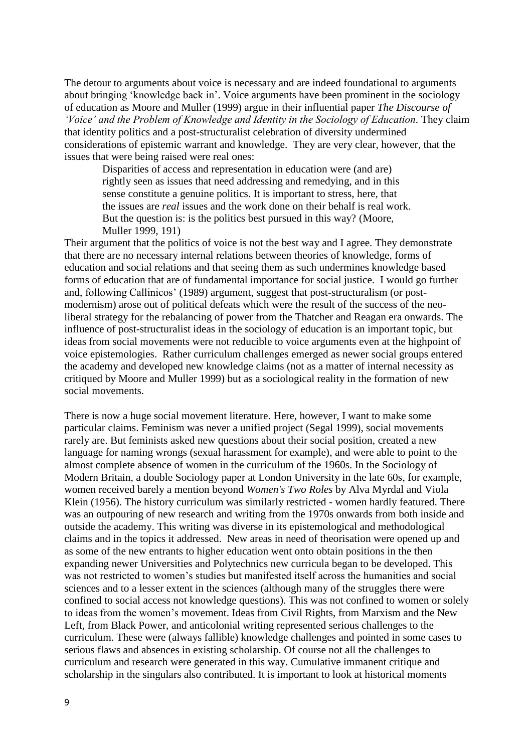The detour to arguments about voice is necessary and are indeed foundational to arguments about bringing 'knowledge back in'. Voice arguments have been prominent in the sociology of education as Moore and Muller (1999) argue in their influential paper *The Discourse of*  'Voice' and the Problem of Knowledge and Identity in the Sociology of Education. They claim that identity politics and a post-structuralist celebration of diversity undermined considerations of epistemic warrant and knowledge. They are very clear, however, that the

issues that were being raised were real ones:

Disparities of access and representation in education were (and are) rightly seen as issues that need addressing and remedying, and in this sense constitute a genuine politics. It is important to stress, here, that the issues are *real* issues and the work done on their behalf is real work. But the question is: is the politics best pursued in this way? (Moore, Muller 1999, 191)

Their argument that the politics of voice is not the best way and I agree. They demonstrate that there are no necessary internal relations between theories of knowledge, forms of education and social relations and that seeing them as such undermines knowledge based forms of education that are of fundamental importance for social justice. I would go further and, following Callinicos' (1989) argument, suggest that post-structuralism (or postmodernism) arose out of political defeats which were the result of the success of the neoliberal strategy for the rebalancing of power from the Thatcher and Reagan era onwards. The influence of post-structuralist ideas in the sociology of education is an important topic, but ideas from social movements were not reducible to voice arguments even at the highpoint of voice epistemologies. Rather curriculum challenges emerged as newer social groups entered the academy and developed new knowledge claims (not as a matter of internal necessity as critiqued by Moore and Muller 1999) but as a sociological reality in the formation of new social movements.

There is now a huge social movement literature. Here, however, I want to make some particular claims. Feminism was never a unified project (Segal 1999), social movements rarely are. But feminists asked new questions about their social position, created a new language for naming wrongs (sexual harassment for example), and were able to point to the almost complete absence of women in the curriculum of the 1960s. In the Sociology of Modern Britain, a double Sociology paper at London University in the late 60s, for example, women received barely a mention beyond *Women's Two Roles* by Alva Myrdal and Viola Klein (1956). The history curriculum was similarly restricted - women hardly featured. There was an outpouring of new research and writing from the 1970s onwards from both inside and outside the academy. This writing was diverse in its epistemological and methodological claims and in the topics it addressed. New areas in need of theorisation were opened up and as some of the new entrants to higher education went onto obtain positions in the then expanding newer Universities and Polytechnics new curricula began to be developed. This was not restricted to women's studies but manifested itself across the humanities and social sciences and to a lesser extent in the sciences (although many of the struggles there were confined to social access not knowledge questions). This was not confined to women or solely to ideas from the women's movement. Ideas from Civil Rights, from Marxism and the New Left, from Black Power, and anticolonial writing represented serious challenges to the curriculum. These were (always fallible) knowledge challenges and pointed in some cases to serious flaws and absences in existing scholarship. Of course not all the challenges to curriculum and research were generated in this way. Cumulative immanent critique and scholarship in the singulars also contributed. It is important to look at historical moments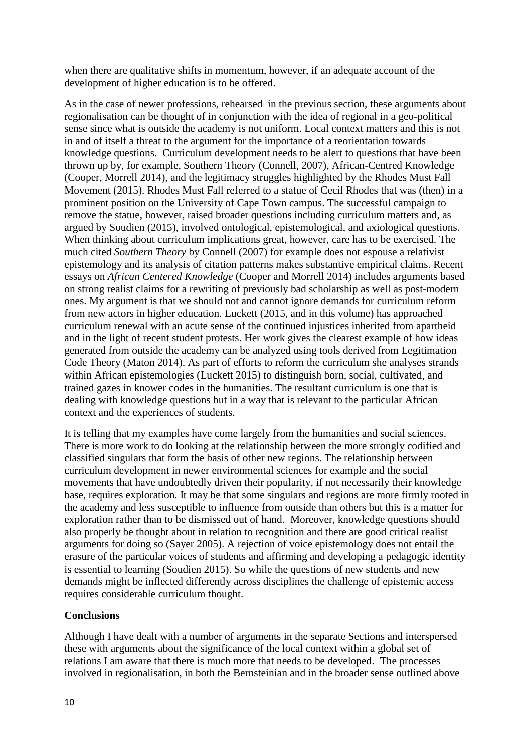when there are qualitative shifts in momentum, however, if an adequate account of the development of higher education is to be offered.

As in the case of newer professions, rehearsed in the previous section, these arguments about regionalisation can be thought of in conjunction with the idea of regional in a geo-political sense since what is outside the academy is not uniform. Local context matters and this is not in and of itself a threat to the argument for the importance of a reorientation towards knowledge questions. Curriculum development needs to be alert to questions that have been thrown up by, for example, Southern Theory (Connell, 2007), African-Centred Knowledge (Cooper, Morrell 2014), and the legitimacy struggles highlighted by the Rhodes Must Fall Movement (2015). Rhodes Must Fall referred to a statue of Cecil Rhodes that was (then) in a prominent position on the University of Cape Town campus. The successful campaign to remove the statue, however, raised broader questions including curriculum matters and, as argued by Soudien (2015), involved ontological, epistemological, and axiological questions. When thinking about curriculum implications great, however, care has to be exercised. The much cited *Southern Theory* by Connell (2007) for example does not espouse a relativist epistemology and its analysis of citation patterns makes substantive empirical claims. Recent essays on *African Centered Knowledge* (Cooper and Morrell 2014) includes arguments based on strong realist claims for a rewriting of previously bad scholarship as well as post-modern ones. My argument is that we should not and cannot ignore demands for curriculum reform from new actors in higher education. Luckett (2015, and in this volume) has approached curriculum renewal with an acute sense of the continued injustices inherited from apartheid and in the light of recent student protests. Her work gives the clearest example of how ideas generated from outside the academy can be analyzed using tools derived from Legitimation Code Theory (Maton 2014). As part of efforts to reform the curriculum she analyses strands within African epistemologies (Luckett 2015) to distinguish born, social, cultivated, and trained gazes in knower codes in the humanities. The resultant curriculum is one that is dealing with knowledge questions but in a way that is relevant to the particular African context and the experiences of students.

It is telling that my examples have come largely from the humanities and social sciences. There is more work to do looking at the relationship between the more strongly codified and classified singulars that form the basis of other new regions. The relationship between curriculum development in newer environmental sciences for example and the social movements that have undoubtedly driven their popularity, if not necessarily their knowledge base, requires exploration. It may be that some singulars and regions are more firmly rooted in the academy and less susceptible to influence from outside than others but this is a matter for exploration rather than to be dismissed out of hand. Moreover, knowledge questions should also properly be thought about in relation to recognition and there are good critical realist arguments for doing so (Sayer 2005). A rejection of voice epistemology does not entail the erasure of the particular voices of students and affirming and developing a pedagogic identity is essential to learning (Soudien 2015). So while the questions of new students and new demands might be inflected differently across disciplines the challenge of epistemic access requires considerable curriculum thought.

### **Conclusions**

Although I have dealt with a number of arguments in the separate Sections and interspersed these with arguments about the significance of the local context within a global set of relations I am aware that there is much more that needs to be developed. The processes involved in regionalisation, in both the Bernsteinian and in the broader sense outlined above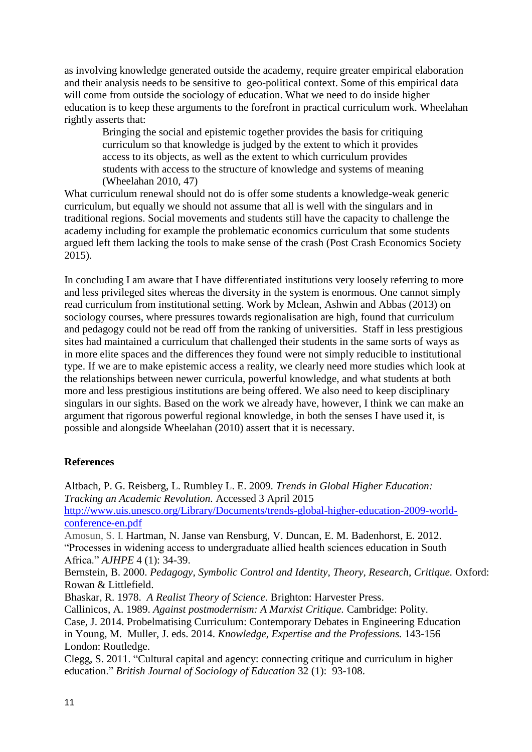as involving knowledge generated outside the academy, require greater empirical elaboration and their analysis needs to be sensitive to geo-political context. Some of this empirical data will come from outside the sociology of education. What we need to do inside higher education is to keep these arguments to the forefront in practical curriculum work. Wheelahan rightly asserts that:

Bringing the social and epistemic together provides the basis for critiquing curriculum so that knowledge is judged by the extent to which it provides access to its objects, as well as the extent to which curriculum provides students with access to the structure of knowledge and systems of meaning (Wheelahan 2010, 47)

What curriculum renewal should not do is offer some students a knowledge-weak generic curriculum, but equally we should not assume that all is well with the singulars and in traditional regions. Social movements and students still have the capacity to challenge the academy including for example the problematic economics curriculum that some students argued left them lacking the tools to make sense of the crash (Post Crash Economics Society 2015).

In concluding I am aware that I have differentiated institutions very loosely referring to more and less privileged sites whereas the diversity in the system is enormous. One cannot simply read curriculum from institutional setting. Work by Mclean, Ashwin and Abbas (2013) on sociology courses, where pressures towards regionalisation are high, found that curriculum and pedagogy could not be read off from the ranking of universities. Staff in less prestigious sites had maintained a curriculum that challenged their students in the same sorts of ways as in more elite spaces and the differences they found were not simply reducible to institutional type. If we are to make epistemic access a reality, we clearly need more studies which look at the relationships between newer curricula, powerful knowledge, and what students at both more and less prestigious institutions are being offered. We also need to keep disciplinary singulars in our sights. Based on the work we already have, however, I think we can make an argument that rigorous powerful regional knowledge, in both the senses I have used it, is possible and alongside Wheelahan (2010) assert that it is necessary.

# **References**

Altbach, P. G. Reisberg, L. Rumbley L. E. 2009. *Trends in Global Higher Education: Tracking an Academic Revolution.* Accessed 3 April 2015 [http://www.uis.unesco.org/Library/Documents/trends-global-higher-education-2009-world](http://www.uis.unesco.org/Library/Documents/trends-global-higher-education-2009-world-conference-en.pdf)[conference-en.pdf](http://www.uis.unesco.org/Library/Documents/trends-global-higher-education-2009-world-conference-en.pdf) Amosun, S. I. Hartman, N. Janse van Rensburg, V. Duncan, E. M. Badenhorst, E. 2012. "Processes in widening access to undergraduate allied health sciences education in South Africa." *AJHPE* 4 (1): 34-39. Bernstein, B. 2000. *Pedagogy, Symbolic Control and Identity, Theory, Research, Critique.* Oxford: Rowan & Littlefield. Bhaskar, R. 1978. *A Realist Theory of Science.* Brighton: Harvester Press. Callinicos, A. 1989. *Against postmodernism: A Marxist Critique.* Cambridge: Polity. Case, J. 2014. Probelmatising Curriculum: Contemporary Debates in Engineering Education in Young, M.Muller, J. eds. 2014. *Knowledge, Expertise and the Professions.* 143-156 London: Routledge. Clegg, S. 2011. "Cultural capital and agency: connecting critique and curriculum in higher education." *British Journal of Sociology of Education* 32 (1): 93-108.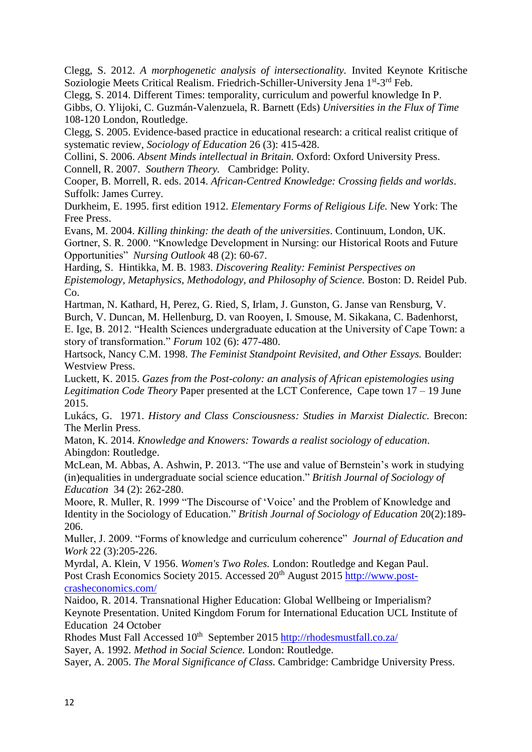Clegg, S. 2012. *A morphogenetic analysis of intersectionality.* Invited Keynote Kritische Soziologie Meets Critical Realism. Friedrich-Schiller-University Jena 1st-3rd Feb.

Clegg, S. 2014. Different Times: temporality, curriculum and powerful knowledge In P.

Gibbs, O. Ylijoki, C. Guzmán-Valenzuela, R. Barnett (Eds) *Universities in the Flux of Time* 108-120 London, Routledge.

Clegg, S. 2005. Evidence-based practice in educational research: a critical realist critique of systematic review, *Sociology of Education* 26 (3): 415-428.

Collini, S. 2006. *Absent Minds intellectual in Britain.* Oxford: Oxford University Press. Connell, R. 2007. *Southern Theory.* Cambridge: Polity.

Cooper, B. Morrell, R. eds. 2014. *African-Centred Knowledge: Crossing fields and worlds*. Suffolk: James Currey.

Durkheim, E. 1995. first edition 1912. *Elementary Forms of Religious Life.* New York: The Free Press.

Evans, M. 2004. *Killing thinking: the death of the universities*. Continuum, London, UK. Gortner, S. R. 2000. "Knowledge Development in Nursing: our Historical Roots and Future Opportunities" *Nursing Outlook* 48 (2): 60-67.

Harding, S. Hintikka, M. B. 1983. *Discovering Reality: Feminist Perspectives on Epistemology, Metaphysics, Methodology, and Philosophy of Science.* Boston: D. Reidel Pub. Co.

Hartman, N. Kathard, H, Perez, G. Ried, S, Irlam, J. Gunston, G. Janse van Rensburg, V. Burch, V. Duncan, M. Hellenburg, D. van Rooyen, I. Smouse, M. Sikakana, C. Badenhorst, E. Ige, B. 2012. "Health Sciences undergraduate education at the University of Cape Town: a story of transformation." *Forum* 102 (6): 477-480.

Hartsock, Nancy C.M. 1998. *The Feminist Standpoint Revisited, and Other Essays.* Boulder: Westview Press.

Luckett, K. 2015. *Gazes from the Post-colony: an analysis of African epistemologies using Legitimation Code Theory* Paper presented at the LCT Conference, Cape town 17 – 19 June 2015.

Lukács, G. 1971. *History and Class Consciousness: Studies in Marxist Dialectic.* Brecon: The Merlin Press.

Maton, K. 2014. *Knowledge and Knowers: Towards a realist sociology of education*. Abingdon: Routledge.

McLean, M. Abbas, A. Ashwin, P. 2013. "The use and value of Bernstein's work in studying (in)equalities in undergraduate social science education." *British Journal of Sociology of Education* 34 (2): 262-280.

Moore, R. Muller, R. 1999 "The Discourse of 'Voice' and the Problem of Knowledge and Identity in the Sociology of Education." *British Journal of Sociology of Education* 20(2):189- 206.

Muller, J. 2009. "Forms of knowledge and curriculum coherence" *Journal of Education and Work* 22 (3):205-226.

Myrdal, A. Klein, V 1956. *Women's Two Roles.* London: Routledge and Kegan Paul. Post Crash Economics Society 2015. Accessed 20th August 2015 [http://www.post](http://www.post-crasheconomics.com/)[crasheconomics.com/](http://www.post-crasheconomics.com/)

Naidoo, R. 2014. Transnational Higher Education: Global Wellbeing or Imperialism? Keynote Presentation. United Kingdom Forum for International Education UCL Institute of Education 24 October

Rhodes Must Fall Accessed 10<sup>th</sup> September 2015<http://rhodesmustfall.co.za/> Sayer, A. 1992. *Method in Social Science.* London: Routledge.

Sayer, A. 2005. *The Moral Significance of Class.* Cambridge: Cambridge University Press.